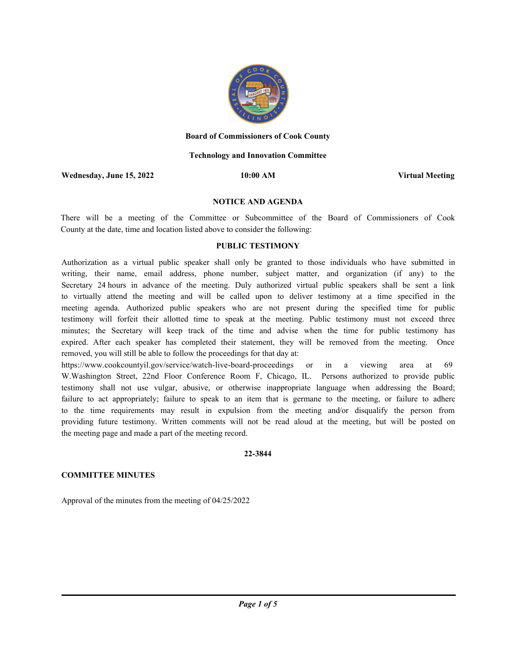

## **Board of Commissioners of Cook County**

## **Technology and Innovation Committee**

**Wednesday, June 15, 2022 10:00 AM Virtual Meeting**

## **NOTICE AND AGENDA**

There will be a meeting of the Committee or Subcommittee of the Board of Commissioners of Cook County at the date, time and location listed above to consider the following:

## **PUBLIC TESTIMONY**

Authorization as a virtual public speaker shall only be granted to those individuals who have submitted in writing, their name, email address, phone number, subject matter, and organization (if any) to the Secretary 24 hours in advance of the meeting. Duly authorized virtual public speakers shall be sent a link to virtually attend the meeting and will be called upon to deliver testimony at a time specified in the meeting agenda. Authorized public speakers who are not present during the specified time for public testimony will forfeit their allotted time to speak at the meeting. Public testimony must not exceed three minutes; the Secretary will keep track of the time and advise when the time for public testimony has expired. After each speaker has completed their statement, they will be removed from the meeting. Once removed, you will still be able to follow the proceedings for that day at:

https://www.cookcountyil.gov/service/watch-live-board-proceedings or in a viewing area at 69 W.Washington Street, 22nd Floor Conference Room F, Chicago, IL. Persons authorized to provide public testimony shall not use vulgar, abusive, or otherwise inappropriate language when addressing the Board; failure to act appropriately; failure to speak to an item that is germane to the meeting, or failure to adhere to the time requirements may result in expulsion from the meeting and/or disqualify the person from providing future testimony. Written comments will not be read aloud at the meeting, but will be posted on the meeting page and made a part of the meeting record.

## **22-3844**

## **COMMITTEE MINUTES**

Approval of the minutes from the meeting of 04/25/2022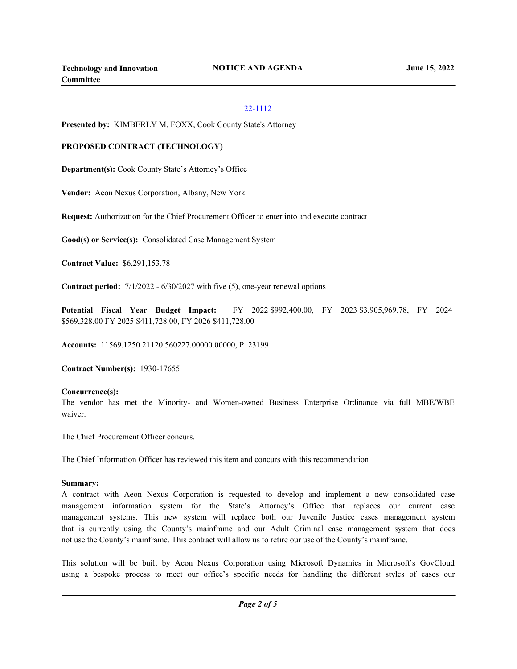# 22-1112

**Presented by:** KIMBERLY M. FOXX, Cook County State's Attorney

## **PROPOSED CONTRACT (TECHNOLOGY)**

**Department(s):** Cook County State's Attorney's Office

**Vendor:** Aeon Nexus Corporation, Albany, New York

**Request:** Authorization for the Chief Procurement Officer to enter into and execute contract

**Good(s) or Service(s):** Consolidated Case Management System

**Contract Value:** \$6,291,153.78

**Contract period:** 7/1/2022 - 6/30/2027 with five (5), one-year renewal options

**Potential Fiscal Year Budget Impact:** FY 2022 \$992,400.00, FY 2023 \$3,905,969.78, FY 2024 \$569,328.00 FY 2025 \$411,728.00, FY 2026 \$411,728.00

**Accounts:** 11569.1250.21120.560227.00000.00000, P\_23199

**Contract Number(s):** 1930-17655

## **Concurrence(s):**

The vendor has met the Minority- and Women-owned Business Enterprise Ordinance via full MBE/WBE waiver.

The Chief Procurement Officer concurs.

The Chief Information Officer has reviewed this item and concurs with this recommendation

## **Summary:**

A contract with Aeon Nexus Corporation is requested to develop and implement a new consolidated case management information system for the State's Attorney's Office that replaces our current case management systems. This new system will replace both our Juvenile Justice cases management system that is currently using the County's mainframe and our Adult Criminal case management system that does not use the County's mainframe. This contract will allow us to retire our use of the County's mainframe.

This solution will be built by Aeon Nexus Corporation using Microsoft Dynamics in Microsoft's GovCloud using a bespoke process to meet our office's specific needs for handling the different styles of cases our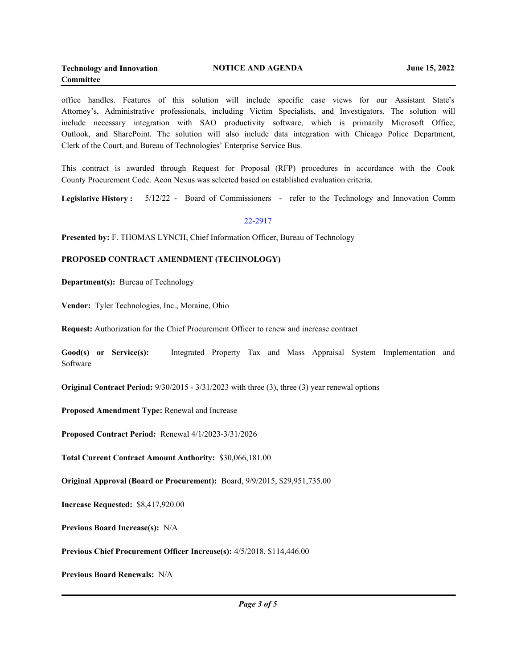office handles. Features of this solution will include specific case views for our Assistant State's Attorney's, Administrative professionals, including Victim Specialists, and Investigators. The solution will include necessary integration with SAO productivity software, which is primarily Microsoft Office, Outlook, and SharePoint. The solution will also include data integration with Chicago Police Department, Clerk of the Court, and Bureau of Technologies' Enterprise Service Bus.

This contract is awarded through Request for Proposal (RFP) procedures in accordance with the Cook County Procurement Code. Aeon Nexus was selected based on established evaluation criteria.

**Legislative History :** 5/12/22 - Board of Commissioners - refer to the Technology and Innovation Comm

## 22-2917

**Presented by:** F. THOMAS LYNCH, Chief Information Officer, Bureau of Technology

## **PROPOSED CONTRACT AMENDMENT (TECHNOLOGY)**

**Department(s):** Bureau of Technology

**Vendor:** Tyler Technologies, Inc., Moraine, Ohio

**Request:** Authorization for the Chief Procurement Officer to renew and increase contract

**Good(s) or Service(s):** Integrated Property Tax and Mass Appraisal System Implementation and Software

**Original Contract Period:** 9/30/2015 - 3/31/2023 with three (3), three (3) year renewal options

**Proposed Amendment Type:** Renewal and Increase

**Proposed Contract Period:** Renewal 4/1/2023-3/31/2026

**Total Current Contract Amount Authority:** \$30,066,181.00

**Original Approval (Board or Procurement):** Board, 9/9/2015, \$29,951,735.00

**Increase Requested:** \$8,417,920.00

**Previous Board Increase(s):** N/A

**Previous Chief Procurement Officer Increase(s):** 4/5/2018, \$114,446.00

**Previous Board Renewals:** N/A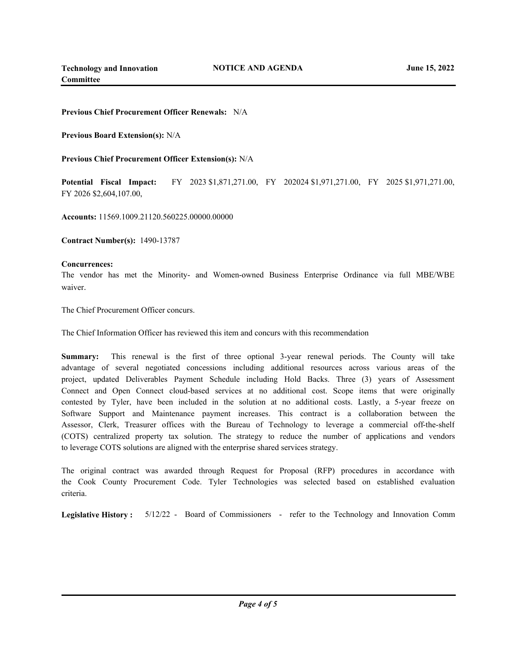## **Previous Chief Procurement Officer Renewals:** N/A

**Previous Board Extension(s):** N/A

**Previous Chief Procurement Officer Extension(s):** N/A

**Potential Fiscal Impact:** FY 2023 \$1,871,271.00, FY 202024 \$1,971,271.00, FY 2025 \$1,971,271.00, FY 2026 \$2,604,107.00,

**Accounts:** 11569.1009.21120.560225.00000.00000

**Contract Number(s):** 1490-13787

## **Concurrences:**

The vendor has met the Minority- and Women-owned Business Enterprise Ordinance via full MBE/WBE waiver.

The Chief Procurement Officer concurs.

The Chief Information Officer has reviewed this item and concurs with this recommendation

**Summary:** This renewal is the first of three optional 3-year renewal periods. The County will take advantage of several negotiated concessions including additional resources across various areas of the project, updated Deliverables Payment Schedule including Hold Backs. Three (3) years of Assessment Connect and Open Connect cloud-based services at no additional cost. Scope items that were originally contested by Tyler, have been included in the solution at no additional costs. Lastly, a 5-year freeze on Software Support and Maintenance payment increases. This contract is a collaboration between the Assessor, Clerk, Treasurer offices with the Bureau of Technology to leverage a commercial off-the-shelf (COTS) centralized property tax solution. The strategy to reduce the number of applications and vendors to leverage COTS solutions are aligned with the enterprise shared services strategy.

The original contract was awarded through Request for Proposal (RFP) procedures in accordance with the Cook County Procurement Code. Tyler Technologies was selected based on established evaluation criteria.

**Legislative History :** 5/12/22 - Board of Commissioners - refer to the Technology and Innovation Comm